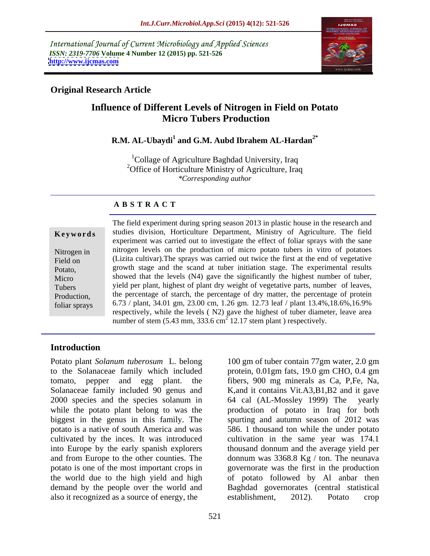International Journal of Current Microbiology and Applied Sciences *ISSN: 2319-7706* **Volume 4 Number 12 (2015) pp. 521-526 <http://www.ijcmas.com>**



# **Original Research Article**

# **Influence of Different Levels of Nitrogen in Field on Potato Micro Tubers Production**

# **R.M. AL-Ubaydi<sup>1</sup> and G.M. Aubd Ibrahem AL-Hardan2\***

<sup>1</sup>Collage of Agriculture Baghdad University, Iraq <sup>2</sup>Office of Horticulture Ministry of Agriculture, Iraq *\*Corresponding author*

## **A B S T R A C T**

foliar sprays

The field experiment during spring season 2013 in plastic house in the research and studies division, Horticulture Department, Ministry of Agriculture. The field experiment was carried out to investigate the effect of foliar sprays with the sane Nitrogen in litrogen levels on the production of micro potato tubers in vitro of potatoes Field on (Lizita cultivar). The sprays was carried out twice the first at the end of vegetative growth stage and the scand at tuber initiation stage. The experimental results Potato, Micro showed that the levels (N4) gave the significantly the highest number of tuber, Tubers yield per plant, highest of plant dry weight of vegetative parts, number of leaves, the percentage of starch, the percentage of dry matter, the percentage of protein Production, 6.73 / plant, 34.01 gm, 23.00 cm, 1.26 gm. 12.73 leaf / plant 13.4%,18.6%,16.9% respectively, while the levels ( N2) gave the highest of tuber diameter, leave area number of stem  $(5.43 \text{ mm}, 333.6 \text{ cm}^2)$  12.17 stem plant ) respectively. **Keywords** studies division, Horticulture Department, Ministry of Agriculture. The field experiment was carried out to investigate the effect of foliar sprays with the sane introgen levels on the production of micro potat

### **Introduction**

Potato plant *Solanum tuberosum* L. belong 100 gm of tuber contain 77gm water, 2.0 gm to the Solanaceae family which included protein, 0.01gm fats, 19.0 gm CHO, 0.4 gm tomato, pepper and egg plant. the fibers, 900 mg minerals as Ca, P,Fe, Na, Solanaceae family included 90 genus and K,and it contains Vit.A3,B1,B2 and it gave 2000 species and the species solanum in 64 cal (AL-Mossley 1999) The yearly while the potato plant belong to was the production of potato in Iraq for both biggest in the genus in this family. The potato is a native of south America and was 586. 1 thousand ton while the under potato cultivated by the inces. It was introduced cultivation in the same year was 174.1 into Europe by the early spanish explorers thousand donnum and the average yield per and from Europe to the other counties. The donnum was 3368.8 Kg / ton. The neunava potato is one of the most important crops in governorate was the first in the production the world due to the high yield and high of potato followed by Al anbar then demand by the people over the world and Baghdad governorates (central statistical also it recognized as a source of energy, the establishment, 2012). Potato crop

64 cal (AL-Mossley 1999) The spurting and autumn season of 2012 was establishment, 2012). Potato crop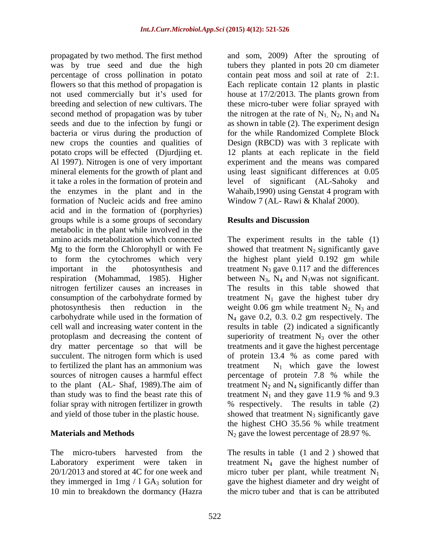propagated by two method. The first method and som, 2009) After the sprouting of was by true seed and due the high tubers they planted in pots 20 cm diameter percentage of cross pollination in potato flowers so that this method of propagation is Each replicate contain 12 plants in plastic not used commercially but it's used for house at 17/2/2013. The plants grown from breeding and selection of new cultivars. The these micro-tuber were foliar sprayed with second method of propagation was by tuber the nitrogen at the rate of  $N_1$ ,  $N_2$ ,  $N_3$  and  $N_4$ seeds and due to the infection by fungi or as shown in table (2). The experiment design bacteria or virus during the production of for the while Randomized Complete Block new crops the counties and qualities of Design (RBCD) was with 3 replicate with potato crops will be effected (Djurdjing et. 12 plants at each replicate in the field Al 1997). Nitrogen is one of very important experiment and the means was compared mineral elements for the growth of plant and it take a roles in the formation of protein and level of significant (AL-Sahoky and the enzymes in the plant and in the Wahaib,1990) using Genstat 4 program with formation of Nucleic acids and free amino acid and in the formation of (porphyries) groups while is a some groups of secondary metabolic in the plant while involved in the<br>amino acids metabolization which connected amino acids metabolization which connected The experiment results in the table (1) Mg to the form the Chlorophyll or with Fe showed that treatment  $N_2$  significantly gave to form the cytochromes which very the highest plant yield 0.192 gm while important in the photosynthesis and treatment  $N_3$  gave 0.117 and the differences respiration (Mohammad, 1985). Higher between  $N_3$ ,  $N_4$  and  $N_1$ was not significant. nitrogen fertilizer causes an increases in The results in this table showed that consumption of the carbohydrate formed by treatment  $N_1$  gave the highest tuber dry photosynthesis then reduction in the weight 0.06 gm while treatment  $N_2$ ,  $N_3$  and carbohydrate while used in the formation of  $N_4$  gave 0.2, 0.3. 0.2 gm respectively. The cell wall and increasing water content in the results in table (2) indicated a significantly protoplasm and decreasing the content of superiority of treatment  $N_3$  over the other dry matter percentage so that will be treatments and it gave the highest percentage succulent. The nitrogen form which is used of protein 13.4 % as come pared with to fertilized the plant has an ammonium was sources of nitrogen causes a harmful effect percentage of protein 7.8 % while the to the plant (AL- Shaf, 1989).The aim of than study was to find the beast rate this of treatment  $N_1$  and they gave 11.9 % and 9.3 foliar spray with nitrogen fertilizer in growth  $\frac{1}{2}$  mesopectively. The results in table (2) and yield of those tuber in the plastic house.

The micro-tubers harvested from the The results in table (1 and 2 ) showed that Laboratory experiment were taken in treatment  $N_4$  gave the highest number of  $20/1/2013$  and stored at 4C for one week and micro tuber per plant, while treatment N<sub>1</sub> they immerged in  $1mg / 1GA_3$  solution for gave the highest diameter and dry weight of 10 min to breakdown the dormancy (Hazra

contain peat moss and soil at rate of 2:1. using least significant differences at 0.05 level of significant (AL-Sahoky Window 7 (AL- Rawi & Khalaf 2000).

### **Results and Discussion**

**Materials and Methods N**<sub>2</sub> gave the lowest percentage of 28.97 %.  $N_1$  which gave the lowest treatment  $N_2$  and  $N_4$  significantly differ than % respectively. The results in table (2) showed that treatment  $N_3$  significantly gave the highest CHO 35.56 % while treatment

the micro tuber and that is can be attributed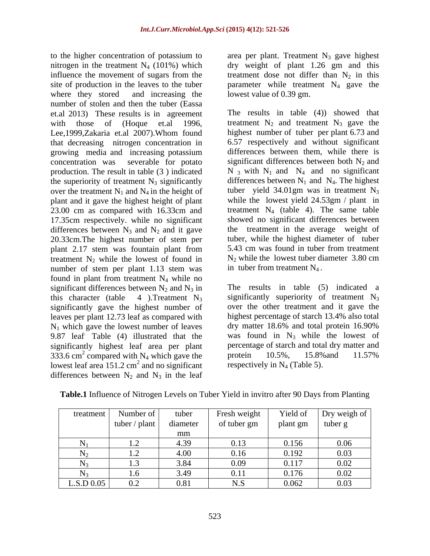to the higher concentration of potassium to  $\qquad$  area per plant. Treatment N<sub>3</sub> gave highest nitrogen in the treatment  $N_4$  (101%) which dry weight of plant 1.26 gm and this influence the movement of sugars from the treatment dose not differ than  $N_2$  in this site of production in the leaves to the tuber  $\blacksquare$  parameter while treatment  $N_4$  gave the where they stored and increasing the lowest value of 0.39 gm. number of stolen and then the tuber (Eassa et.al 2013) These results is in agreement The results in table (4)) showed that with those of (Hoque et.al 1996, treatment  $N_2$  and treatment  $N_3$  gave the Lee,1999,Zakaria et.al 2007).Whom found that decreasing nitrogen concentration in growing media and increasing potassium concentration was severable for potato significant differences between both  $N_2$  and production. The result in table (3) indicated  $N_3$  with  $N_1$  and  $N_4$  and no significant the superiority of treatment  $N_3$  significantly over the treatment  $N_1$  and  $N_4$  in the height of plant and it gave the highest height of plant 23.00 cm as compared with 16.33cm and 17.35cm respectively. while no significant differences between  $N_3$  and  $N_2$  and it gave 20.33cm.The highest number of stem per<br>
per tuber, while the highest diameter of tuber<br>
plant 2.17 stem was fountain plant from 5.43 cm was found in tuber from treatment plant 2.17 stem was fountain plant from treatment  $N_2$  while the lowest of found in number of stem per plant 1.13 stem was found in plant from treatment  $N_4$  while no significant differences between  $N_2$  and  $N_3$  in this character (table 4 ). Treatment  $N_3$  significantly superiority of treatment  $N_3$  significantly gave the highest number of over the other treatment and it gave the leaves per plant 12.73 leaf as compared with  $N_1$  which gave the lowest number of leaves 9.87 leaf Table (4) illustrated that the significantly highest leaf area per plant percentage of starch and total dry matter and 333.6 cm<sup>2</sup> compared with  $N_4$  which gave the protein 10.5%, 15.8% and 11.57% 333.6 cm<sup>2</sup> compared with N<sub>4</sub> which gave the protein 10.5%, 15.8% and 11.57% lowest leaf area  $151.2 \text{ cm}^2$  and no significant differences between  $N_2$  and  $N_3$  in the leaf

lowest value of 0.39 gm.

highest number of tuber per plant 6.73 and 6.57 respectively and without significant differences between them, while there is differences between  $N_1$  and  $N_4$ . The highest tuber yield 34.01gm was in treatment  $N_3$ while the lowest yield 24.53gm / plant in treatment  $N_4$  (table 4). The same table showed no significant differences between the treatment in the average weight of tuber, while the highest diameter of tuber 5.43 cm was found in tuber from treatment  $N<sub>2</sub>$  while the lowest tuber diameter 3.80 cm in tuber from treatment  $N_4$ .

Table (4) illustrated that the was found in  $N_3$  while the lowest of and no significant respectively in  $N_4$  (Table 5). The results in table (5) indicated a significantly superiority of treatment  $N_3$ over the other treatment and it gave the highest percentage of starch 13.4% also total dry matter 18.6% and total protein 16.90% percentage of starch and total dry matter and protein 10.5%, 15.8%and 11.57%

| treatment          | Number of     | tuber    | Fresh weight              |                    | Yield of $\vert$ Dry weigh of $\vert$ |
|--------------------|---------------|----------|---------------------------|--------------------|---------------------------------------|
|                    | tuber / plant | diameter | of tuber gm               | plant gm   tuber g |                                       |
|                    |               | mm       |                           |                    |                                       |
|                    |               |          |                           | 0.156              | 0.06                                  |
|                    |               | 4.00     | 0.16                      | 0.192              | 0.03                                  |
|                    |               |          | 0.09                      | 0.117              | 0.02                                  |
|                    |               |          |                           | 0.176              | 0.02                                  |
| L.S.D 0.05 $\vert$ | 0.2           |          | $\mathbf{N}$ $\mathbf{C}$ | 0.062              | 0.03                                  |

**Table.1** Influence of Nitrogen Levels on Tuber Yield in invitro after 90 Days from Planting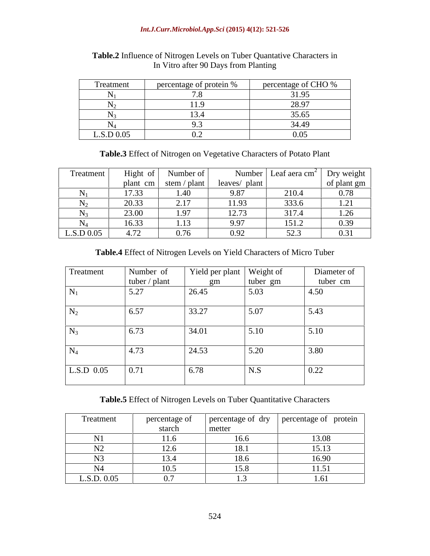### *Int.J.Curr.Microbiol.App.Sci* **(2015) 4(12): 521-526**

| <b>Treatmer</b> | percentage of protein % | percentage of CHO %          |
|-----------------|-------------------------|------------------------------|
|                 |                         | 31.05                        |
|                 |                         | 28.07<br>$\sim$ $\sim$       |
|                 |                         |                              |
|                 |                         | 24.40                        |
| L.S.D.0.05      | . <i>.</i>              | $\sim$ $\sim$ $\sim$<br>0.03 |

### **Table.2** Influence of Nitrogen Levels on Tuber Quantative Characters in In Vitro after 90 Days from Planting

**Table.3** Effect of Nitrogen on Vegetative Characters of Potato Plant

| Treatment  | $\mu$ ght of                                         | Number of             | Number L        | Leaf aera $\text{cm}^2$ Dry weight |             |
|------------|------------------------------------------------------|-----------------------|-----------------|------------------------------------|-------------|
|            |                                                      | plant cm stem / plant | leaves/ plant   |                                    | of plant gm |
|            | 17.22<br>11.33                                       | $1 \lambda$           | . വ<br>9.8/     | 210.4                              | 0.78        |
|            | 20.33<br>20.JJ                                       | 217<br>$\sim$ 1       | 11.02<br>11.73  | 333.6                              | 1.21        |
|            | 2200<br>20.UU<br>$\overline{\phantom{a}}\phantom{a}$ | 1. OZ                 | 10 <sub>2</sub> |                                    | $1 \wedge$  |
|            | $1 \leq \Omega$<br>10.33                             | 1.IJ                  | 0.07<br>7.71    | 151.2                              | 0.39        |
| L.S.D 0.05 | 4.72                                                 | 0.76                  | $\alpha$        | 522                                | 0.31        |

**Table.4** Effect of Nitrogen Levels on Yield Characters of Micro Tuber

| Treatment                               | Number of     | Yield per plant   Weight of |                                  | Diameter of       |
|-----------------------------------------|---------------|-----------------------------|----------------------------------|-------------------|
|                                         | tuber / plant | $\sigma$ m                  | tuber gm                         | tuber cm          |
|                                         | 5.27          | 26.45                       | 5.03                             | 4.50              |
|                                         | 6.57          | 33.27                       | 5.07                             | $\overline{5.43}$ |
|                                         | 6.73          | 34.01                       | 5.10                             | 5.10              |
|                                         | 4.73          | 24.53                       | 5.20                             | 3.80              |
| $\mathbf{L}.\mathbf{S}.\mathbf{D}$ 0.05 | 0.71          | 6.78                        | $\mathbf{M}$ $\mathbf{C}$<br>C.H | 0.22              |

**Table.5** Effect of Nitrogen Levels on Tuber Quantitative Characters

| Treatment                     | percentage of                | percentage of dry      | percentage of<br>protein |
|-------------------------------|------------------------------|------------------------|--------------------------|
|                               | starch                       | metter                 |                          |
| <b>AT1</b><br>TAT             |                              | 16.6                   | 13.08                    |
| $\mathbf{r}$<br>192           | 14.V                         | 1 O<br>10.1            | 15.13                    |
| $\mathbf{r}$<br>1 V J         |                              | 18.6                   | $\epsilon$ on<br>10.70   |
| <b>BTA</b><br>11 <sup>-</sup> | $\mathbf{1} \cup \mathbf{1}$ | $1 \in \Omega$<br>15.8 | 11.77<br>11.51           |
| L.S.D. 0.05                   |                              |                        | <b>1.</b> 0 1            |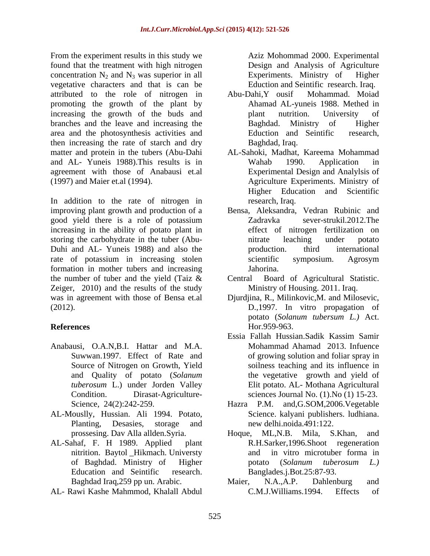From the experiment results in this study we found that the treatment with high nitrogen concentration  $N_2$  and  $N_3$  was superior in all Experiments. Ministry of Higher vegetative characters and that is can be attributed to the role of nitrogen in Abu-Dahi, Y ousif Mohammad. Moiad promoting the growth of the plant by increasing the growth of the buds and  $\qquad$  plant nutrition. University of branches and the leave and increasing the area and the photosynthesis activities and then increasing the rate of starch and dry matter and protein in the tubers (Abu-Dahi AL-Sahoki, Madhat, Kareema Mohammad and AL- Yuneis 1988).This results is in agreement with those of Anabausi et.al (1997) and Maier et.al (1994). Agriculture Experiments. Ministry of

In addition to the rate of nitrogen in improving plant growth and production of a good yield there is a role of potassium increasing in the ability of potato plant in storing the carbohydrate in the tuber (Abu-<br>
itrate leaching under potato Duhi and AL- Yuneis 1988) and also the production. third international rate of potassium in increasing stolen scientific symposium. Agrosym formation in mother tubers and increasing the number of tuber and the yield (Taiz & Zeiger, 2010) and the results of the study was in agreement with those of Bensa et.al Djurdjina, R., Milinkovic,M. and Milosevic, (2012). D.,1997. In vitro propagation of

- Anabausi, O.A.N,B.I. Hattar and M.A. Source of Nitrogen on Growth, Yield
- 
- nitrition. Baytol \_Hikmach. Universty
- AL- Rawi Kashe Mahmmod, Khalall Abdul

Aziz Mohommad 2000. Experimental Design and Analysis of Agriculture Experiments. Ministry of Higher Eduction and Seintific research. Iraq.

- Abu-Dahi,Y ousif Mohammad. Moiad Ahamad AL-yuneis 1988. Methed in plant nutrition. University of Baghdad. Ministry of Higher Eduction and Seintific research, Baghdad, Iraq.
- Wahab 1990. Application in Experimental Design and Analylsis of Higher Education and Scientific research, Iraq.
- Bensa, Aleksandra, Vedran Rubinic and Zadravka sever-strukil.2012.The effect of nitrogen fertilization on nitrate leaching under potato production. third international scientific symposium. Agrosym Jahorina.
- Board of Agricultural Statistic. Ministry of Housing. 2011. Iraq.
- References Hor.959-963. potato (*Solanum tubersum L.)* Act. Hor.959-963.
	- Suwwan.1997. Effect of Rate and of growing solution and foliar spray in and Quality of potato (*Solanum*  the vegetative growth and yield of *tuberosum* L.) under Jorden Valley Elit potato. AL- Mothana Agricultural Condition. Dirasat-Agriculture- sciences Journal No. (1).No (1) 15-23. Essia Fallah Hussian.Sadik Kassim Samir Mohammad Ahamad 2013. Infuence soilness teaching and its influence in
- Science, 24(2):242-259. Hazra P.M. and,G.SOM,2006.Vegetable AL-Mouslly, Hussian. Ali 1994. Potato, Science. kalyani publishers. ludhiana. Planting, Desasies, storage and new delhi.noida.491:122. new delhi.noida.491:122.
- prossesing. Dav Alla allden. Syria. Hoque, ML, N.B. Mila, S. Khan, and AL-Sahaf, F. H 1989. Applied plant R.H.Sarker,1996.Shoot regeneration of Baghdad. Ministry of Higher Education and Seintific research. Banglades.j.Bot.25:87-93. Hoque, ML,N.B. Mila, S.Khan, and and in vitro microtuber forma in potato (*Solanum tuberosum L.)*
	- Baghdad Iraq, 259 pp un. Arabic. Maier, N.A., A.P. Dahlenburg and Maier, N.A.,A.P. Dahlenburg and C.M.J.Williams.1994. Effects of